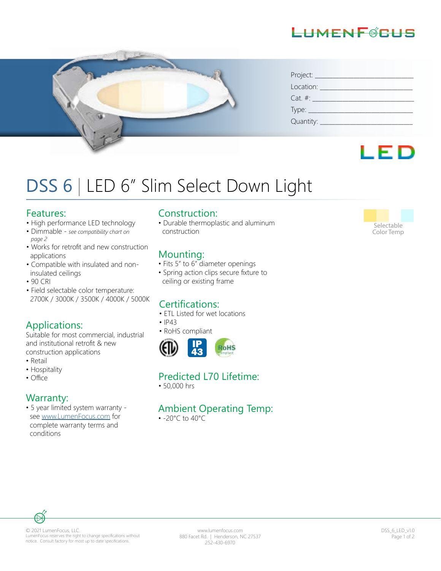



| Project:       |
|----------------|
| Location:      |
| $Cat. \#:$     |
| $Type:$ $\_\_$ |
| Quantity:      |



# DSS 6 | LED 6" Slim Select Down Light

#### Features:

- High performance LED technology
- Dimmable *see compatibility chart on page 2*
- Works for retrofit and new construction applications
- Compatible with insulated and non insulated ceilings
- 90 CRI
- Field selectable color temperature: 2700K / 3000K / 3500K / 4000K / 5000K

#### Applications:

Suitable for most commercial, industrial and institutional retrofit & new construction applications

- Retail
- Hospitality<br>• Office
- 

#### Warranty:

• 5 year limited system warranty see www.LumenFocus.com for complete warranty terms and conditions

#### Construction:

• Durable thermoplastic and aluminum construction

#### Mounting:

- Fits 5" to 6" diameter openings
- Spring action clips secure fixture to ceiling or existing frame

### Certifications:

- ETL Listed for wet locations
- IP43
- RoHS compliant



#### Predicted L70 Lifetime:

• 50,000 hrs

#### Ambient Operating Temp:

• -20°C to 40°C



#### © 2021 LumenFocus, LLC. LumenFocus reserves the right to change specifications without notice. Consult factory for most up to date specifications.

www.lumenfocus.com 880 Facet Rd. | Henderson, NC 27537 252-430-6970